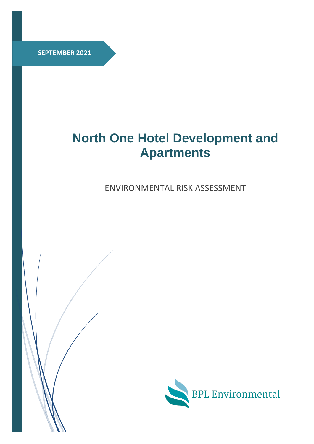**SEPTEMBER 2021**

# **North One Hotel Development and Apartments**

ENVIRONMENTAL RISK ASSESSMENT



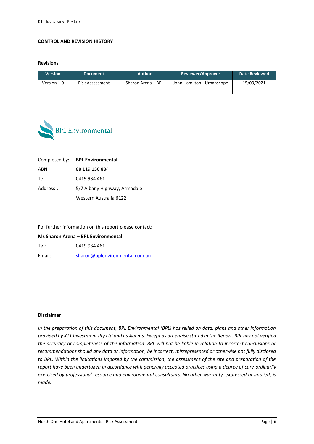#### **CONTROL AND REVISION HISTORY**

**Revisions** 

| <b>Version</b>                 | <b>Document</b> | <b>Author</b>      | <b>Reviewer/Approver</b>   | Date Reviewed |  |
|--------------------------------|-----------------|--------------------|----------------------------|---------------|--|
| Version 1.0<br>Risk Assessment |                 | Sharon Arena – BPL | John Hamilton - Urbanscope | 15/09/2021    |  |



|          | Completed by: BPL Environmental |
|----------|---------------------------------|
| ABN:     | 88 119 156 884                  |
| Tel:     | 0419 934 461                    |
| Address: | 5/7 Albany Highway, Armadale    |
|          | Western Australia 6122          |

For further information on this report please contact:

**Ms Sharon Arena – BPL Environmental** 

Tel: 0419 934 461

Email: [sharon@bplenvironmental.com.au](mailto:sharon@bplenvironmental.com.au)

#### **Disclaimer**

*In the preparation of this document, BPL Environmental (BPL) has relied on data, plans and other information provided by KTT Investment Pty Ltd and its Agents. Except as otherwise stated in the Report, BPL has not verified the accuracy or completeness of the information. BPL will not be liable in relation to incorrect conclusions or recommendations should any data or information, be incorrect, misrepresented or otherwise not fully disclosed to BPL. Within the limitations imposed by the commission, the assessment of the site and preparation of the report have been undertaken in accordance with generally accepted practices using a degree of care ordinarily exercised by professional resource and environmental consultants. No other warranty, expressed or implied, is made.*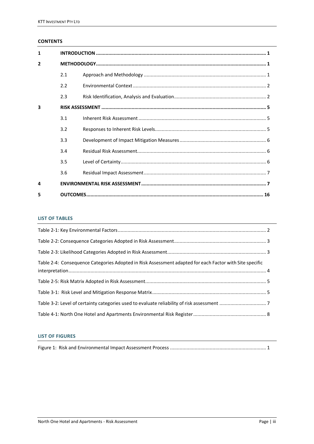# **CONTENTS**

| $\mathbf{1}$   |     |  |  |  |  |
|----------------|-----|--|--|--|--|
| $\overline{2}$ |     |  |  |  |  |
|                | 2.1 |  |  |  |  |
|                | 2.2 |  |  |  |  |
|                | 2.3 |  |  |  |  |
| 3              |     |  |  |  |  |
|                | 3.1 |  |  |  |  |
|                | 3.2 |  |  |  |  |
|                | 3.3 |  |  |  |  |
|                | 3.4 |  |  |  |  |
|                | 3.5 |  |  |  |  |
|                | 3.6 |  |  |  |  |
| 4              |     |  |  |  |  |
| 5              |     |  |  |  |  |

## **LIST OF TABLES**

| Table 2-4: Consequence Categories Adopted in Risk Assessment adapted for each Factor with Site specific |  |
|---------------------------------------------------------------------------------------------------------|--|
|                                                                                                         |  |
|                                                                                                         |  |
|                                                                                                         |  |
|                                                                                                         |  |

## **LIST OF FIGURES**

|--|--|--|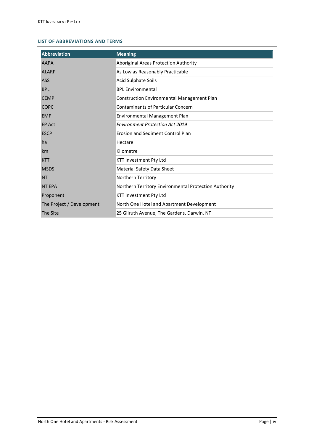## **LIST OF ABBREVIATIONS AND TERMS**

| <b>Abbreviation</b>       | <b>Meaning</b>                                        |
|---------------------------|-------------------------------------------------------|
| <b>AAPA</b>               | Aboriginal Areas Protection Authority                 |
| <b>ALARP</b>              | As Low as Reasonably Practicable                      |
| <b>ASS</b>                | <b>Acid Sulphate Soils</b>                            |
| <b>BPL</b>                | <b>BPL Environmental</b>                              |
| <b>CEMP</b>               | <b>Construction Environmental Management Plan</b>     |
| <b>COPC</b>               | <b>Contaminants of Particular Concern</b>             |
| <b>EMP</b>                | Environmental Management Plan                         |
| <b>EP Act</b>             | <b>Environment Protection Act 2019</b>                |
| <b>ESCP</b>               | Erosion and Sediment Control Plan                     |
| ha                        | Hectare                                               |
| km                        | Kilometre                                             |
| <b>KTT</b>                | KTT Investment Pty Ltd                                |
| <b>MSDS</b>               | Material Safety Data Sheet                            |
| <b>NT</b>                 | Northern Territory                                    |
| <b>NT EPA</b>             | Northern Territory Environmental Protection Authority |
| Proponent                 | <b>KTT Investment Pty Ltd</b>                         |
| The Project / Development | North One Hotel and Apartment Development             |
| The Site                  | 25 Gilruth Avenue, The Gardens, Darwin, NT            |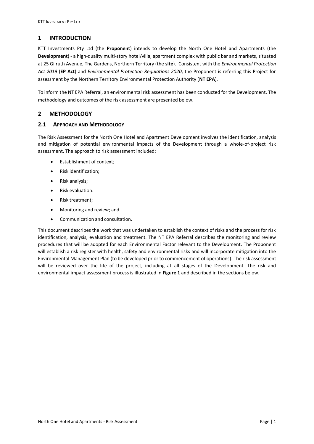# <span id="page-4-0"></span>**1 INTRODUCTION**

KTT Investments Pty Ltd (the **Proponent**) intends to develop the North One Hotel and Apartments (the **Development**) - a high-quality multi-story hotel/villa, apartment complex with public bar and markets, situated at 25 Gilruth Avenue, The Gardens, Northern Territory (the **site**). Consistent with the *Environmental Protection Act 2019* (**EP Act**) and *Environmental Protection Regulations 2020*, the Proponent is referring this Project for assessment by the Northern Territory Environmental Protection Authority (**NT EPA**).

To inform the NT EPA Referral, an environmental risk assessment has been conducted for the Development. The methodology and outcomes of the risk assessment are presented below.

# <span id="page-4-1"></span>**2 METHODOLOGY**

# <span id="page-4-2"></span>**2.1 APPROACH AND METHODOLOGY**

The Risk Assessment for the North One Hotel and Apartment Development involves the identification, analysis and mitigation of potential environmental impacts of the Development through a whole-of-project risk assessment. The approach to risk assessment included:

- Establishment of context;
- Risk identification;
- Risk analysis;
- Risk evaluation:
- Risk treatment;
- Monitoring and review; and
- Communication and consultation.

This document describes the work that was undertaken to establish the context of risks and the process for risk identification, analysis, evaluation and treatment. The NT EPA Referral describes the monitoring and review procedures that will be adopted for each Environmental Factor relevant to the Development. The Proponent will establish a risk register with health, safety and environmental risks and will incorporate mitigation into the Environmental Management Plan (to be developed prior to commencement of operations). The risk assessment will be reviewed over the life of the project, including at all stages of the Development. The risk and environmental impact assessment process is illustrated in **[Figure](#page-5-1) 1** and described in the sections below.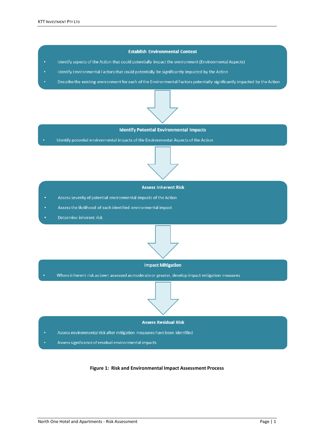#### **Establish Environmental Context**

- Identify aspects of the Action that could potentially impact the environment (Environmental Aspects) ÷
- Identify Environmental Factors that could potentially be significantly impacted by the Action
- Describe the existing environment for each of the Environmental Factors potentially significantly impacted by the Action



#### **Identify Potential Environmental Impacts**

Identify potential environmental impacts of the Environmental Aspects of the Action



#### **Assess Inherent Risk**

- Assess severity of potential environmental impacts of the Action
- Assess the likelihood of each identified environmental impact
- Determine inherent risk



#### **Impact Mitigation**

Where inherent risk as been assessed as moderate or greater, develop impact mitigation measures

# **Assess Residual Risk**

- Assess environmental risk after mitigation measures have been identified
- <span id="page-5-1"></span><span id="page-5-0"></span>Assess significance of residual environmental impacts

#### **Figure 1: Risk and Environmental Impact Assessment Process**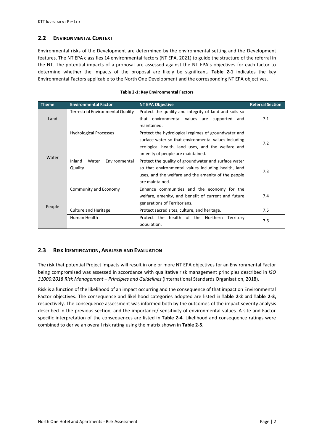# <span id="page-6-0"></span>**2.2 ENVIRONMENTAL CONTEXT**

Environmental risks of the Development are determined by the environmental setting and the Development features. The NT EPA classifies 14 environmental factors (NT EPA, 2021) to guide the structure of the referral in the NT. The potential impacts of a proposal are assessed against the NT EPA's objectives for each factor to determine whether the impacts of the proposal are likely be significant**. [Table 2-1](#page-6-2)** indicates the key Environmental Factors applicable to the North One Development and the corresponding NT EPA objectives.

<span id="page-6-2"></span>

| <b>Theme</b> | <b>Environmental Factor</b>                 | <b>NT EPA Objective</b>                                                                                                                                                                               | <b>Referral Section</b> |
|--------------|---------------------------------------------|-------------------------------------------------------------------------------------------------------------------------------------------------------------------------------------------------------|-------------------------|
| Land         | <b>Terrestrial Environmental Quality</b>    | Protect the quality and integrity of land and soils so<br>that environmental values are supported and<br>maintained.                                                                                  | 7.1                     |
| Water        | <b>Hydrological Processes</b>               | Protect the hydrological regimes of groundwater and<br>surface water so that environmental values including<br>ecological health, land uses, and the welfare and<br>amenity of people are maintained. | 7.2                     |
|              | Water<br>Environmental<br>Inland<br>Quality | Protect the quality of groundwater and surface water<br>so that environmental values including health, land<br>uses, and the welfare and the amenity of the people<br>are maintained.                 | 7.3                     |
| People       | Community and Economy                       | Enhance communities and the economy for the<br>welfare, amenity, and benefit of current and future<br>generations of Territorians.                                                                    | 7.4                     |
|              | <b>Culture and Heritage</b>                 | Protect sacred sites, culture, and heritage.                                                                                                                                                          | 7.5                     |
|              | Human Health                                | Protect the health of the Northern<br>Territory<br>population.                                                                                                                                        | 7.6                     |

#### **Table 2-1: Key Environmental Factors**

# <span id="page-6-1"></span>**2.3 RISK IDENTIFICATION, ANALYSIS AND EVALUATION**

The risk that potential Project impacts will result in one or more NT EPA objectives for an Environmental Factor being compromised was assessed in accordance with qualitative risk management principles described in *ISO 31000:2018 Risk Management – Principles and Guidelines* (International Standards Organisation, 2018).

Risk is a function of the likelihood of an impact occurring and the consequence of that impact on Environmental Factor objectives. The consequence and likelihood categories adopted are listed in **[Table 2-2](#page-7-0)** and **[Table 2-3,](#page-7-1)** respectively. The consequence assessment was informed both by the outcomes of the impact severity analysis described in the previous section, and the importance/ sensitivity of environmental values. A site and Factor specific interpretation of the consequences are listed in **[Table 2-4](#page-8-0)**. Likelihood and consequence ratings were combined to derive an overall risk rating using the matrix shown in **[Table 2-5](#page-9-3)**.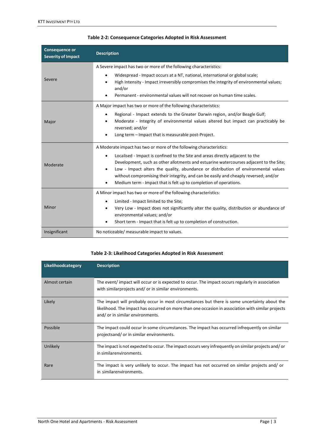<span id="page-7-0"></span>

| <b>Consequence or</b><br><b>Severity of Impact</b> | <b>Description</b>                                                                                                                                                                                                                                                                                                                                                                                                                                                                                                  |
|----------------------------------------------------|---------------------------------------------------------------------------------------------------------------------------------------------------------------------------------------------------------------------------------------------------------------------------------------------------------------------------------------------------------------------------------------------------------------------------------------------------------------------------------------------------------------------|
| Severe                                             | A Severe impact has two or more of the following characteristics:<br>Widespread - Impact occurs at a NT, national, international or global scale;<br>High Intensity - Impact irreversibly compromises the integrity of environmental values;<br>and/or<br>Permanent - environmental values will not recover on human time scales.                                                                                                                                                                                   |
| Major                                              | A Major impact has two or more of the following characteristics:<br>Regional - Impact extends to the Greater Darwin region, and/or Beagle Gulf;<br>$\bullet$<br>Moderate - Integrity of environmental values altered but impact can practicably be<br>reversed; and/or<br>Long term - Impact that is measurable post-Project.                                                                                                                                                                                       |
| Moderate                                           | A Moderate impact has two or more of the following characteristics:<br>Localised - Impact is confined to the Site and areas directly adjacent to the<br>$\bullet$<br>Development, such as other allotments and estuarine watercourses adjacent to the Site;<br>Low - Impact alters the quality, abundance or distribution of environmental values<br>٠<br>without compromising their integrity, and can be easily and cheaply reversed; and/or<br>Medium term - Impact that is felt up to completion of operations. |
| Minor                                              | A Minor impact has two or more of the following characteristics:<br>Limited - Impact limited to the Site;<br>$\bullet$<br>Very Low - Impact does not significantly alter the quality, distribution or abundance of<br>٠<br>environmental values; and/or<br>Short term - Impact that is felt up to completion of construction.                                                                                                                                                                                       |
| Insignificant                                      | No noticeable/ measurable impact to values.                                                                                                                                                                                                                                                                                                                                                                                                                                                                         |

| Table 2-2: Consequence Categories Adopted in Risk Assessment |
|--------------------------------------------------------------|
|--------------------------------------------------------------|

# **Table 2-3: Likelihood Categories Adopted in Risk Assessment**

<span id="page-7-1"></span>

| Likelihoodcategory | <b>Description</b>                                                                                                                                                                                                                     |
|--------------------|----------------------------------------------------------------------------------------------------------------------------------------------------------------------------------------------------------------------------------------|
| Almost certain     | The event/ impact will occur or is expected to occur. The impact occurs regularly in association<br>with similar projects and/ or in similar environments.                                                                             |
| Likely             | The impact will probably occur in most circumstances but there is some uncertainty about the<br>likelihood. The impact has occurred on more than one occasion in association with similar projects<br>and/ or in similar environments. |
| Possible           | The impact could occur in some circumstances. The impact has occurred infrequently on similar<br>projectsand/ or in similar environments.                                                                                              |
| Unlikely           | The impact is not expected to occur. The impact occurs very infrequently on similar projects and/ or<br>in similarenvironments.                                                                                                        |
| Rare               | The impact is very unlikely to occur. The impact has not occurred on similar projects and/ or<br>in similarenvironments.                                                                                                               |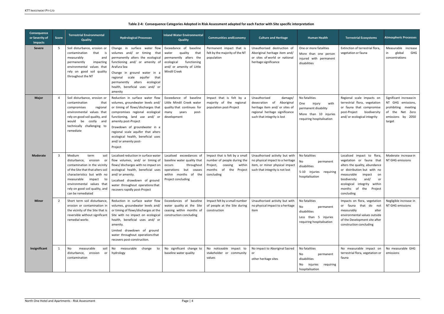<span id="page-8-0"></span>

| Consequence<br>or Severity of<br><b>Impacts</b> | <b>Score</b> | <b>Terrestrial Environmental</b><br><b>Quality</b>                                                                                                                                                                                                                          | <b>Hydrological Processes</b>                                                                                                                                                                                                                                                                                                                         | <b>Inland Water Environmental</b><br>Quality                                                                                                                  | <b>Communities and Economy</b>                                                                                                     | <b>Culture and Heritage</b>                                                                                                                                | <b>Human Health</b>                                                                                                  | <b>Terrestrial Ecosystems</b>                                                                                                                                                                                                                                        | <b>Atmospheric Processes</b>                                                                                          |
|-------------------------------------------------|--------------|-----------------------------------------------------------------------------------------------------------------------------------------------------------------------------------------------------------------------------------------------------------------------------|-------------------------------------------------------------------------------------------------------------------------------------------------------------------------------------------------------------------------------------------------------------------------------------------------------------------------------------------------------|---------------------------------------------------------------------------------------------------------------------------------------------------------------|------------------------------------------------------------------------------------------------------------------------------------|------------------------------------------------------------------------------------------------------------------------------------------------------------|----------------------------------------------------------------------------------------------------------------------|----------------------------------------------------------------------------------------------------------------------------------------------------------------------------------------------------------------------------------------------------------------------|-----------------------------------------------------------------------------------------------------------------------|
| <b>Severe</b>                                   | 5            | Soil disturbance, erosion or<br>contamination<br>that<br>is<br>measurably<br>and<br>impacting<br>permanently<br>environmental values that<br>rely on good soil quality<br>throughout the NT                                                                                 | Change in surface water flow<br>volumes and/ or timing that<br>permanently alters the ecological<br>functioning and/ or amenity of<br>Arafura Sea<br>Change in ground water in a<br>scale aquifer<br>regional<br>that<br>permanently alters ecological<br>health, beneficial uses and/ or<br>amenity                                                  | Exceedance of baseline<br>quality<br>water<br>that<br>permanently alters the<br>ecological<br>functioning<br>and/ or amenity of Little<br><b>Mindil Creek</b> | Permanent impact that is<br>felt by the majority of the NT<br>population                                                           | Unauthorised destruction of<br>Aboriginal heritage item and/<br>or sites of world or national<br>heritage significance                                     | One or more fatalities<br>More than one person<br>injured with permanent<br>disabilities                             | Extinction of terrestrial flora,<br>vegetation or fauna                                                                                                                                                                                                              | Measurable increase<br>in<br>global<br>GHG<br>concentrations                                                          |
| <b>Major</b>                                    | 4            | Soil disturbance, erosion or<br>contamination<br>that<br>compromises<br>regional<br>environmental values that<br>rely on good soil quality, and<br>would be costly and<br>technically challenging to<br>remediate                                                           | Reduction in surface water flow<br>volumes, groundwater levels and/<br>or timing of flows/discharges that<br>compromises regional ecological<br>functioning, land use and/ or<br>amenity post-Project<br>Drawdown of groundwater in a<br>regional scale aquifer that alters<br>ecological health, beneficial uses<br>and/ or amenity post-<br>Project | Exceedance of baseline<br>Little Mindil Creek water<br>quality that continues for<br>many<br>years<br>post-<br>development                                    | Impact that is felt by a<br>majority of the regional<br>population post-Project                                                    | Unauthorised<br>damage/<br>desecration of<br>Aboriginal<br>heritage item and/ or sites of<br>regional heritage significance<br>such that integrity is lost | No fatalities<br>injury<br>One<br>with<br>permanent disability<br>More than 10 injuries<br>requiring hospitalisation | Regional scale impacts on<br>terrestrial flora, vegetation<br>or fauna that compromise<br>post-Project<br>biodiversity<br>and/ or ecological integrity                                                                                                               | Significant increase in<br>NT GHG emissions,<br>prohibiting meeting<br>of the Net Zero<br>emissions by 2050<br>target |
| <b>Moderate</b>                                 | 3            | Medium<br>term<br>soil<br>disturbance, erosion<br>or<br>contamination in the vicinity<br>of the Site that that alters soil<br>characteristics but with no<br>measurable<br>impact<br>to<br>environmental values that<br>rely on good soil quality, and<br>can be remediated | Localised reduction in surface water<br>flow volumes, and/ or timing of<br>flows/discharges with no impact on<br>ecological health, beneficial uses<br>and/or amenity.<br>Localised drawdown of ground<br>water throughout operations that<br>recovers rapidly post-Project                                                                           | Localised exceedances of<br>baseline water quality that<br>throughout<br>occurs<br>operations but ceases<br>within months of the<br>Project concluding        | Impact that is felt by a small<br>number of people during the<br>Project, ceasing<br>within<br>months of the Project<br>concluding | Unauthorised activity but with<br>no physical impact to a heritage<br>item, or minor physical impact<br>such that integrity is not lost                    | No fatalities<br>No<br>permanent<br>disabilities<br>5-10 injuries requiring<br>hospitalisation                       | Localised impact to flora,<br>vegetation or fauna that<br>alters the quality, abundance<br>or distribution but with no<br>measurable<br>impact<br>on<br>and/<br>biodiversity<br>or<br>ecological integrity<br>within<br>the<br>months<br>of<br>Project<br>concluding | Moderate increase in<br>NT GHG emissions                                                                              |
| <b>Minor</b>                                    | 2            | Short term soil disturbance,<br>erosion or contamination in<br>the vicinity of the Site that is<br>reversible without significant<br>remedial works                                                                                                                         | Reduction in surface water flow<br>volumes, groundwater levels and/<br>or timing of flows/discharges at the<br>Site with no impact on ecological<br>health, beneficial uses and/ or<br>amenity.<br>Limited drawdown of ground<br>water throughout operations that<br>recovers post-construction.                                                      | Exceedances of baseline<br>water quality at the Site<br>ceasing within months of<br>construction concluding                                                   | Impact felt by a small number<br>of people at the Site during<br>construction                                                      | Unauthorised activity but with<br>no physical impact to a heritage<br>item                                                                                 | No fatalities<br>No<br>permanent<br>disabilities<br>Less than 5 injuries<br>requiring hospitalisation                | Impacts on flora, vegetation<br>or fauna that do not<br>measurably<br>alter<br>environmental values outside<br>of the Development site after<br>construction concluding                                                                                              | Negligible increase in<br>NT GHG emissions                                                                            |
| Insignificant                                   | 1            | measurable<br>No<br>soil<br>disturbance, erosion<br>or<br>contamination                                                                                                                                                                                                     | No<br>measurable<br>change<br>to<br>hydrology                                                                                                                                                                                                                                                                                                         | No significant change to<br>baseline water quality                                                                                                            | No noticeable impact to<br>stakeholder or community<br>values                                                                      | No impact to Aboriginal Sacred<br>or<br>other heritage sites                                                                                               | No fatalities<br>No<br>permanent<br>disabilities<br>No injuries<br>requiring<br>hospitalisation                      | No measurable impact on<br>terrestrial flora, vegetation or<br>fauna                                                                                                                                                                                                 | No measurable GHG<br>emissions                                                                                        |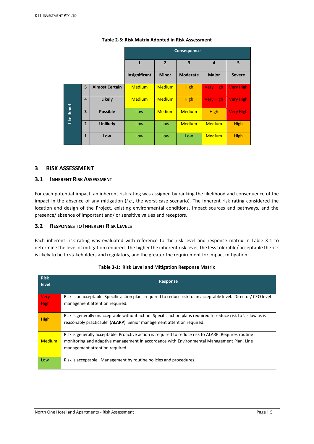<span id="page-9-3"></span>

|            |                         |                       | Consequence   |                |                 |                  |                  |  |  |  |  |  |  |  |
|------------|-------------------------|-----------------------|---------------|----------------|-----------------|------------------|------------------|--|--|--|--|--|--|--|
|            |                         |                       | $\mathbf{1}$  | $\overline{2}$ | 3               | 4                | 5                |  |  |  |  |  |  |  |
|            |                         |                       | Insignificant | <b>Minor</b>   | <b>Moderate</b> | <b>Major</b>     | <b>Severe</b>    |  |  |  |  |  |  |  |
|            | 5                       | <b>Almost Certain</b> | <b>Medium</b> | <b>Medium</b>  | <b>High</b>     | <b>Very High</b> | <b>Very High</b> |  |  |  |  |  |  |  |
|            | 4                       | <b>Likely</b>         | <b>Medium</b> | <b>Medium</b>  | <b>High</b>     | <b>Very High</b> | <b>Very High</b> |  |  |  |  |  |  |  |
| Likelihood | $\overline{\mathbf{3}}$ | <b>Possible</b>       | Low           | <b>Medium</b>  | <b>Medium</b>   | <b>High</b>      | <b>Very High</b> |  |  |  |  |  |  |  |
|            | $\overline{2}$          | <b>Unlikely</b>       | Low           | Low            | <b>Medium</b>   | <b>Medium</b>    | <b>High</b>      |  |  |  |  |  |  |  |
|            | $\mathbf{1}$            | Low                   | Low           | Low            | Low             | <b>Medium</b>    | <b>High</b>      |  |  |  |  |  |  |  |

## **Table 2-5: Risk Matrix Adopted in Risk Assessment**

# <span id="page-9-0"></span>**3 RISK ASSESSMENT**

# <span id="page-9-1"></span>**3.1 INHERENT RISK ASSESSMENT**

For each potential impact, an inherent risk rating was assigned by ranking the likelihood and consequence of the impact in the absence of any mitigation (*i.e*., the worst-case scenario). The inherent risk rating considered the location and design of the Project, existing environmental conditions, impact sources and pathways, and the presence/ absence of important and/ or sensitive values and receptors.

# <span id="page-9-2"></span>**3.2 RESPONSES TO INHERENT RISK LEVELS**

Each inherent risk rating was evaluated with reference to the risk level and response matrix in [Table 3-1](#page-9-4) to determine the level of mitigation required. The higher the inherent risk level, the less tolerable/ acceptable therisk is likely to be to stakeholders and regulators, and the greater the requirement for impact mitigation.

<span id="page-9-4"></span>

| <b>Risk</b><br>level | <b>Response</b>                                                                                                                                                                         |
|----------------------|-----------------------------------------------------------------------------------------------------------------------------------------------------------------------------------------|
| <b>Very</b>          | Risk is unacceptable. Specific action plans required to reduce risk to an acceptable level. Director/CEO level                                                                          |
| <b>High</b>          | management attention required.                                                                                                                                                          |
| <b>High</b>          | Risk is generally unacceptable without action. Specific action plans required to reduce risk to 'as low as is<br>reasonably practicable' (ALARP). Senior management attention required. |
|                      | Risk is generally acceptable. Proactive action is required to reduce risk to ALARP. Requires routine                                                                                    |
| <b>Medium</b>        | monitoring and adaptive management in accordance with Environmental Management Plan. Line                                                                                               |
|                      | management attention required.                                                                                                                                                          |
| Low                  | Risk is acceptable. Management by routine policies and procedures.                                                                                                                      |

|  |  |  | Table 3-1: Risk Level and Mitigation Response Matrix |
|--|--|--|------------------------------------------------------|
|--|--|--|------------------------------------------------------|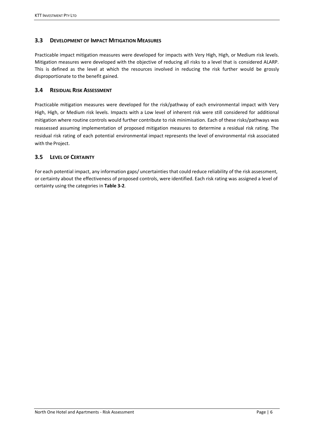# <span id="page-10-0"></span>**3.3 DEVELOPMENT OF IMPACT MITIGATION MEASURES**

Practicable impact mitigation measures were developed for impacts with Very High, High, or Medium risk levels. Mitigation measures were developed with the objective of reducing all risks to a level that is considered ALARP. This is defined as the level at which the resources involved in reducing the risk further would be grossly disproportionate to the benefit gained.

# <span id="page-10-1"></span>**3.4 RESIDUAL RISK ASSESSMENT**

Practicable mitigation measures were developed for the risk/pathway of each environmental impact with Very High, High, or Medium risk levels. Impacts with a Low level of inherent risk were still considered for additional mitigation where routine controls would further contribute to risk minimisation. Each of these risks/pathways was reassessed assuming implementation of proposed mitigation measures to determine a residual risk rating. The residual risk rating of each potential environmental impact represents the level of environmental risk associated with the Project.

# <span id="page-10-2"></span>**3.5 LEVEL OF CERTAINTY**

For each potential impact, any information gaps/ uncertainties that could reduce reliability of the risk assessment, or certainty about the effectiveness of proposed controls, were identified. Each risk rating was assigned a level of certainty using the categories in **[Table 3-2](#page-11-2)**.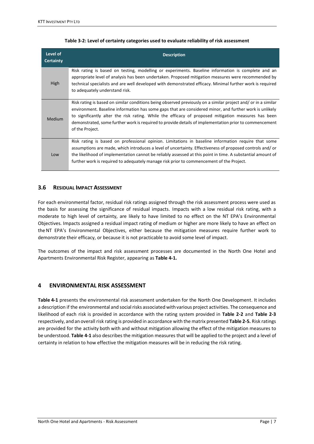<span id="page-11-2"></span>

| Level of<br><b>Certainty</b> | <b>Description</b>                                                                                                                                                                                                                                                                                                                                                                                                                                            |
|------------------------------|---------------------------------------------------------------------------------------------------------------------------------------------------------------------------------------------------------------------------------------------------------------------------------------------------------------------------------------------------------------------------------------------------------------------------------------------------------------|
| <b>High</b>                  | Risk rating is based on testing, modelling or experiments. Baseline information is complete and an<br>appropriate level of analysis has been undertaken. Proposed mitigation measures were recommended by<br>technical specialists and are well developed with demonstrated efficacy. Minimal further work is required<br>to adequately understand risk.                                                                                                      |
| <b>Medium</b>                | Risk rating is based on similar conditions being observed previously on a similar project and/ or in a similar<br>environment. Baseline information has some gaps that are considered minor, and further work is unlikely<br>to significantly alter the risk rating. While the efficacy of proposed mitigation measures has been<br>demonstrated, some further work is required to provide details of implementation prior to commencement<br>of the Project. |
| Low                          | Risk rating is based on professional opinion. Limitations in baseline information require that some<br>assumptions are made, which introduces a level of uncertainty. Effectiveness of proposed controls and/ or<br>the likelihood of implementation cannot be reliably assessed at this point in time. A substantial amount of<br>further work is required to adequately manage risk prior to commencement of the Project.                                   |

#### **Table 3-2: Level of certainty categories used to evaluate reliability of risk assessment**

## <span id="page-11-0"></span>**3.6 RESIDUAL IMPACT ASSESSMENT**

For each environmental factor, residual risk ratings assigned through the risk assessment process were used as the basis for assessing the significance of residual impacts. Impacts with a low residual risk rating, with a moderate to high level of certainty, are likely to have limited to no effect on the NT EPA's Environmental Objectives. Impacts assigned a residual impact rating of medium or higher are more likely to have an effect on theNT EPA's Environmental Objectives, either because the mitigation measures require further work to demonstrate their efficacy, or because it is not practicable to avoid some level of impact.

The outcomes of the impact and risk assessment processes are documented in the North One Hotel and Apartments Environmental Risk Register, appearing as **[Table 4-1.](#page-12-0)**

# <span id="page-11-1"></span>**4 ENVIRONMENTAL RISK ASSESSMENT**

**[Table 4-1](#page-12-0)** presents the environmental risk assessment undertaken for the North One Development. It includes a description if the environmental and social risks associated with various project activities. The consequence and likelihood of each risk is provided in accordance with the rating system provided in **[Table 2-2](#page-7-0)** and **[Table 2-3](#page-7-1)** respectively, and an overall risk rating is provided in accordance with the matrix presented **[Table 2-5.](#page-9-3)** Risk ratings are provided for the activity both with and without mitigation allowing the effect of the mitigation measures to be understood. **[Table 4-1](#page-12-0)** also describes the mitigation measures that will be applied to the project and a level of certainty in relation to how effective the mitigation measures will be in reducing the risk rating.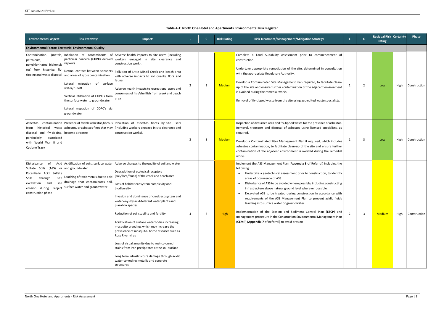## **Table 4-1: North One Hotel and Apartments Environmental Risk Register**

<span id="page-12-0"></span>

| <b>Environmental Aspect</b>                                                                                                                                                                         | <b>Risk Pathways</b>                                                                                                                                                                                                                                          | <b>Impacts</b>                                                                                                                                                                                                                                                                                                                                                                                                                                                                                                                                                                                                                                                                                                                                                                                         |   |   | <b>Risk Rating</b> | Risk Treatment/Management/Mitigation Strategy                                                                                                                                                                                                                                                                                                                                                                                                                                                                                                                                                                                                                                                                                                                       |    | $\mathbf{C}$            | <b>Residual Risk Certainty</b><br>Rating |      | <b>Phase</b> |
|-----------------------------------------------------------------------------------------------------------------------------------------------------------------------------------------------------|---------------------------------------------------------------------------------------------------------------------------------------------------------------------------------------------------------------------------------------------------------------|--------------------------------------------------------------------------------------------------------------------------------------------------------------------------------------------------------------------------------------------------------------------------------------------------------------------------------------------------------------------------------------------------------------------------------------------------------------------------------------------------------------------------------------------------------------------------------------------------------------------------------------------------------------------------------------------------------------------------------------------------------------------------------------------------------|---|---|--------------------|---------------------------------------------------------------------------------------------------------------------------------------------------------------------------------------------------------------------------------------------------------------------------------------------------------------------------------------------------------------------------------------------------------------------------------------------------------------------------------------------------------------------------------------------------------------------------------------------------------------------------------------------------------------------------------------------------------------------------------------------------------------------|----|-------------------------|------------------------------------------|------|--------------|
|                                                                                                                                                                                                     | <b>Environmental Factor: Terrestrial Environmental Quality</b>                                                                                                                                                                                                |                                                                                                                                                                                                                                                                                                                                                                                                                                                                                                                                                                                                                                                                                                                                                                                                        |   |   |                    |                                                                                                                                                                                                                                                                                                                                                                                                                                                                                                                                                                                                                                                                                                                                                                     |    |                         |                                          |      |              |
| Contamination<br>(metals,<br>petroleum,<br>polychlorinated biphenyls<br>etc) from historical fly-<br>tipping and waste disposal                                                                     | Inhalation of contaminants of<br>vapours<br>and areas of gross contamination<br>migration of surface<br>Lateral<br>water/runoff<br>Vertical infiltration of COPC's from<br>the surface water to groundwater<br>Lateral migration of COPC's via<br>groundwater | Adverse health impacts to site users (including<br>particular concern (COPC) derived workers engaged in site clearance and<br>construction work).<br>$\mid$ Dermal contact between siteusers $\mid$ Pollution of Little Mindil Creek and beach area<br>with adverse impacts to soil quality, flora and<br>fauna<br>Adverse health impacts to recreational users and<br>consumers of fish/shellfish from creek and beach<br>area                                                                                                                                                                                                                                                                                                                                                                        | 3 | 2 | <b>Medium</b>      | Complete a Land Suitability Assessment prior to commencement of<br>construction.<br>Undertake appropriate remediation of the site, determined in consultation<br>with the appropriate Regulatory Authority.<br>Develop a Contaminated Site Management Plan required, to facilitate clean-<br>up of the site and ensure further contamination of the adjacent environment<br>is avoided during the remedial works<br>Removal of fly-tipped waste from the site using accredited waste specialists.                                                                                                                                                                                                                                                                   | 1  | $\overline{2}$          | Low                                      | High | Construction |
| historical<br>trom<br>disposal and fly-tipping, become airborne<br>particularly<br>associated<br>with World War II and<br><b>Cyclone Tracy</b>                                                      |                                                                                                                                                                                                                                                               | Asbestos contamination Presence of friable asbestos, fibrous Inhalation of asbestos fibres by site users<br>waste asbestos, or asbestos fines that may   (including workers engaged in site clearance and<br>construction works).                                                                                                                                                                                                                                                                                                                                                                                                                                                                                                                                                                      | 3 | 3 | Medium             | Inspection of disturbed area and fly-tipped waste for the presence of asbestos.<br>Removal, transport and disposal of asbestos using licensed specialists, as<br>required.<br>Develop a Contaminated Sites Management Plan if required, which includes<br>asbestos contamination, to facilitate clean-up of the site and ensure further<br>contamination of the adjacent environment is avoided during the remedial<br>works                                                                                                                                                                                                                                                                                                                                        | -1 | 3                       | Low                                      | High | Construction |
| Disturbance<br>0f<br>Sulfate Soils (ASS) or and groundwater<br>Potentially Acid Sulfate<br>site<br>through<br>Soils<br>soil<br>and<br>excavation<br>Project<br>erosion during<br>construction phase | Leaching of toxic metals due to acid<br>drainage that contaminates soil,<br>surface water and groundwater                                                                                                                                                     | Acid Acidification of soils, surface water   Adverse changes to the quality of soil and water<br>Degradation of ecological receptors<br>(soil/flora/fauna) of the creek and beach area<br>Loss of habitat ecosystem complexity and<br>biodiversity<br>Invasion and dominance of creek ecosystem and<br>waterways by acid-tolerant water plants and<br>plankton species<br>Reduction of soil stability and fertility<br>Acidification of surface waterbodies increasing<br>mosquito breeding, which may increase the<br>prevalence of mosquito- borne diseases such as<br>Ross River virus<br>Loss of visual amenity due to rust-coloured<br>stains from iron precipitates at the soil surface<br>Long term infrastructure damage through acidic<br>water corroding metallic and concrete<br>structures |   | 3 | High               | Implement the ASS Management Plan (Appendix 8 of Referral) including the<br>following:<br>• Undertake a geotechnical assessment prior to construction, to identify<br>areas of occurrence of ASS.<br>Disturbance of ASS to be avoided where possible, including constructing<br>$\bullet$<br>infrastructure above natural ground level wherever possible.<br>Excavated ASS to be treated during construction in accordance with<br>$\bullet$<br>requirements of the ASS Management Plan to prevent acidic fluids<br>leaching into surface water or groundwater.<br>Implementation of the Erosion and Sediment Control Plan (ESCP) and<br>management procedure in the Construction Environmental Management Plan<br>(CEMP) (Appendix 7 of Referral) to avoid erosion | 2  | $\overline{\mathbf{3}}$ | <b>Medium</b>                            | High | Construction |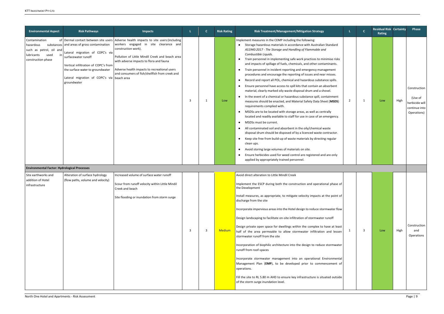| <b>Environmental Aspect</b>                                                                               | <b>Risk Pathways</b>                                                                                                                                                                                                                                                                   | <b>Impacts</b>                                                                                                                                                                                                                                                                                                  |   | $\mathbf{C}$ | <b>Risk Rating</b> | Risk Treatment/Management/Mitigation Strategy                                                                                                                                                                                                                                                                                                                                                                                                                                                                                                                                                                                                                                                                                                                                                                                                                                                                                                                                                                                                                                                                                                                                                                                                                                                                                                                                                                                                                                                                                                                                              |                | $\mathbf{C}$ | <b>Residual Risk Certainty</b><br>Rating |      | Phase                                                                     |
|-----------------------------------------------------------------------------------------------------------|----------------------------------------------------------------------------------------------------------------------------------------------------------------------------------------------------------------------------------------------------------------------------------------|-----------------------------------------------------------------------------------------------------------------------------------------------------------------------------------------------------------------------------------------------------------------------------------------------------------------|---|--------------|--------------------|--------------------------------------------------------------------------------------------------------------------------------------------------------------------------------------------------------------------------------------------------------------------------------------------------------------------------------------------------------------------------------------------------------------------------------------------------------------------------------------------------------------------------------------------------------------------------------------------------------------------------------------------------------------------------------------------------------------------------------------------------------------------------------------------------------------------------------------------------------------------------------------------------------------------------------------------------------------------------------------------------------------------------------------------------------------------------------------------------------------------------------------------------------------------------------------------------------------------------------------------------------------------------------------------------------------------------------------------------------------------------------------------------------------------------------------------------------------------------------------------------------------------------------------------------------------------------------------------|----------------|--------------|------------------------------------------|------|---------------------------------------------------------------------------|
| Contamination<br>hazardous<br>such as petrol, oil and<br>in l<br>lubricants<br>used<br>construction phase | of Dermal contact between site users<br>substances and areas of gross contamination<br>Lateral migration of COPC's via<br>surfacewater runoff<br>Vertical infiltration of COPC's from<br>the surface water to groundwater<br>Lateral migration of COPC's via beach area<br>groundwater | Adverse health impacts to site users (including<br>workers engaged in site clearance and<br>construction work).<br>Pollution of Little Mindil Creek and beach area<br>with adverse impacts to flora and fauna<br>Adverse health impacts to recreational users<br>and consumers of fish/shellfish from creek and |   | -1           | Low                | Implement measures in the CEMP including the following:<br>• Storage hazardous materials in accordance with Australian Standard<br>AS1940:2017 - The Storage and Handling of Flammable and<br>Combustible Liquids.<br>Train personnel in implementing safe work practices to minimise risks<br>$\bullet$<br>and impacts of spillage of fuels, chemicals, and other contaminants.<br>• Train personnel in incident reporting and emergency management<br>procedures and encourage the reporting of issues and near misses.<br>Record and report all POL, chemical and hazardous substance spills.<br>$\bullet$<br>Ensure personnel have access to spill kits that contain an absorbent<br>material, clearly marked oily waste disposal drum and a shovel.<br>• In the event of a chemical or hazardous substance spill, containment<br>measures should be enacted, and Material Safety Data Sheet (MSDS)<br>requirements complied with.<br>MSDSs are to be located with storage areas, as well as centrally<br>$\bullet$<br>located and readily available to staff for use in case of an emergency.<br>MSDSs must be current.<br>$\bullet$<br>All contaminated soil and absorbent in the oily/chemical waste<br>$\bullet$<br>disposal drum should be disposed of by a licenced waste contractor.<br>Keep site free from build-up of waste materials by directing regular<br>$\bullet$<br>clean ups.<br>Avoid storing large volumes of materials on site.<br>Ensure herbicides used for weed control are registered and are only<br>$\bullet$<br>applied by appropriately trained personnel. | $\overline{2}$ | -1           | Low                                      | High | Construction<br>(Use of<br>herbicide will<br>continue into<br>Operations) |
| <b>Environmental Factor: Hydrological Processes</b>                                                       |                                                                                                                                                                                                                                                                                        |                                                                                                                                                                                                                                                                                                                 |   |              |                    |                                                                                                                                                                                                                                                                                                                                                                                                                                                                                                                                                                                                                                                                                                                                                                                                                                                                                                                                                                                                                                                                                                                                                                                                                                                                                                                                                                                                                                                                                                                                                                                            |                |              |                                          |      |                                                                           |
| Site earthworks and<br>addition of Hotel<br>infrastructure                                                | Alteration of surface hydrology<br>(flow paths, volume and velocity)                                                                                                                                                                                                                   | Increased volume of surface water runoff<br>Scour from runoff velocity within Little Mindil<br>Creek and beach<br>Site flooding or inundation from storm surge                                                                                                                                                  | 3 | 3            | <b>Medium</b>      | Avoid direct alteration to Little Mindil Creek<br>Implement the ESCP during both the construction and operational phase of<br>the Development<br>Install measures, as appropriate, to mitigate velocity impacts at the point of<br>discharge from the site<br>Incorporate impervious areas into the Hotel design to reduce stormwater flow<br>Design landscaping to facilitate on-site infiltration of stormwater runoff<br>Design private open space for dwellings within the complex to have at least<br>half of the area permeable to allow stormwater infiltration and lessen<br>stormwater runoff from the site<br>Incorporation of biophilic architecture into the design to reduce stormwater<br>runoff from roof-spaces<br>Incorporate stormwater management into an operational Environmental<br>Management Plan (EMP), to be developed prior to commencement of<br>operations.<br>Fill the site to RL 5.80 m AHD to ensure key infrastructure is situated outside<br>of the storm surge inundation level.                                                                                                                                                                                                                                                                                                                                                                                                                                                                                                                                                                        |                | -3           | Low                                      | High | Construction<br>and<br>Operations                                         |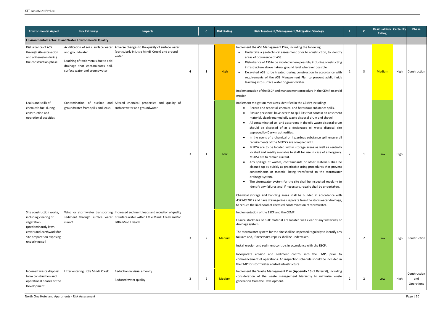| <b>Environmental Aspect</b>                                                                                                                                        | <b>Risk Pathways</b>                                                                                                                                                  | <b>Impacts</b>                                                                                                                                                                                  |   |    | <b>Risk Rating</b> | Risk Treatment/Management/Mitigation Strategy                                                                                                                                                                                                                                                                                                                                                                                                                                                                                                                                                                                                                                                                                                                                                                                                                                                                                                                                                                                                                                                                                                                                                                                                                                                                                                                                     |                | $\mathbf c$             | <b>Residual Risk Certainty</b><br>Rating |      | <b>Phase</b>                      |
|--------------------------------------------------------------------------------------------------------------------------------------------------------------------|-----------------------------------------------------------------------------------------------------------------------------------------------------------------------|-------------------------------------------------------------------------------------------------------------------------------------------------------------------------------------------------|---|----|--------------------|-----------------------------------------------------------------------------------------------------------------------------------------------------------------------------------------------------------------------------------------------------------------------------------------------------------------------------------------------------------------------------------------------------------------------------------------------------------------------------------------------------------------------------------------------------------------------------------------------------------------------------------------------------------------------------------------------------------------------------------------------------------------------------------------------------------------------------------------------------------------------------------------------------------------------------------------------------------------------------------------------------------------------------------------------------------------------------------------------------------------------------------------------------------------------------------------------------------------------------------------------------------------------------------------------------------------------------------------------------------------------------------|----------------|-------------------------|------------------------------------------|------|-----------------------------------|
|                                                                                                                                                                    | <b>Environmental Factor: Inland Water Environmental Quality</b>                                                                                                       |                                                                                                                                                                                                 |   |    |                    |                                                                                                                                                                                                                                                                                                                                                                                                                                                                                                                                                                                                                                                                                                                                                                                                                                                                                                                                                                                                                                                                                                                                                                                                                                                                                                                                                                                   |                |                         |                                          |      |                                   |
| Disturbance of ASS<br>through site excavation<br>and soil erosion during<br>the construction phase                                                                 | Acidification of soils, surface water<br>and groundwater<br>Leaching of toxic metals due to acid<br>drainage that contaminates soil,<br>surface water and groundwater | Adverse changes to the quality of surface water<br>(particularly in Little Mindil Creek) and ground<br>water                                                                                    |   | 3  | <b>High</b>        | Implement the ASS Management Plan, including the following:<br>• Undertake a geotechnical assessment prior to construction, to identify<br>areas of occurrence of ASS.<br>Disturbance of ASS to be avoided where possible, including constructing<br>$\bullet$<br>infrastructure above natural ground level wherever possible.<br>• Excavated ASS to be treated during construction in accordance with<br>requirements of the ASS Management Plan to prevent acidic fluids<br>leaching into surface water or groundwater.<br>Implementation of the ESCP and management procedure in the CEMP to avoid<br>erosion                                                                                                                                                                                                                                                                                                                                                                                                                                                                                                                                                                                                                                                                                                                                                                  | $\overline{2}$ | $\overline{\mathbf{3}}$ | <b>Medium</b>                            | High | Construction                      |
| Leaks and spills of<br>chemicals fuel during<br>construction and<br>operational activities                                                                         | groundwater from spills and leaks                                                                                                                                     | Contamination of surface and Altered chemical properties and quality of<br>surface water and groundwater                                                                                        | 3 | -1 | Low                | Implement mitigation measures identified in the CEMP; including:<br>Record and report all chemical and hazardous substance spills.<br>Ensure personnel have access to spill kits that contain an absorbent<br>material, clearly marked oily waste disposal drum and shovel.<br>All contaminated soil and absorbent in the oily waste disposal drum<br>$\bullet$<br>should be disposed of at a designated oil waste disposal site<br>approved by Darwin authorities.<br>In the event of a chemical or hazardous substance spill ensure all<br>requirements of the MSDS's are complied with.<br>MSDSs are to be located within storage areas as well as centrally<br>located and readily available to staff for use in case of emergency.<br>MSDSs are to remain current.<br>Any spillage of wastes, contaminants or other materials shall be<br>cleaned up as quickly as practicable using procedures that prevent<br>contaminants or material being transferred to the stormwater<br>drainage system.<br>The stormwater system for the site shall be inspected regularly to<br>identify any failures and, if necessary, repairs shall be undertaken.<br>Chemical storage and handling areas shall be bunded in accordance with<br>AS1940:2017 and have drainage lines separate from the stormwater drainage,<br>to reduce the likelihood of chemical contamination of stormwater. | $\overline{2}$ | 1                       | Low                                      | High |                                   |
| Site construction works,<br>including clearing of<br>vegetation<br>(predominantly lawn<br>cover) and earthworksfor<br>site preparation exposing<br>underlying soil | runoff                                                                                                                                                                | Wind or stormwater transporting   Increased sediment loads and reduction of quality<br>sediment through surface water of surface water within Little Mindil Creek and/or<br>Little Mindil Beach | 3 | 2  | <b>Medium</b>      | Implementation of the ESCP and the CEMP<br>Ensure stockpiles of bulk material are located well clear of any waterway or<br>drainage system.<br>The stormwater system for the site shall be inspected regularly to identify any<br>failures and, if necessary, repairs shall be undertaken.<br>Install erosion and sediment controls in accordance with the ESCP.<br>Incorporate erosion and sediment control into the EMP, prior to<br>commencement of operations. An inspection schedule should be included in<br>the EMP for stormwater control infrastructure.                                                                                                                                                                                                                                                                                                                                                                                                                                                                                                                                                                                                                                                                                                                                                                                                                 | 2              | $\overline{2}$          | Low                                      | High | Construction                      |
| Incorrect waste disposal<br>from construction and<br>operational phases of the<br>Development                                                                      | Litter entering Little Mindil Creek                                                                                                                                   | Reduction in visual amenity<br>Reduced water quality                                                                                                                                            | 3 | 2  | Medium             | Implement the Waste Management Plan (Appendix 13 of Referral), including<br>consideration of the waste management hierarchy to minimise waste<br>generation from the Development.                                                                                                                                                                                                                                                                                                                                                                                                                                                                                                                                                                                                                                                                                                                                                                                                                                                                                                                                                                                                                                                                                                                                                                                                 | 2              | $\overline{2}$          | Low                                      | High | Construction<br>and<br>Operations |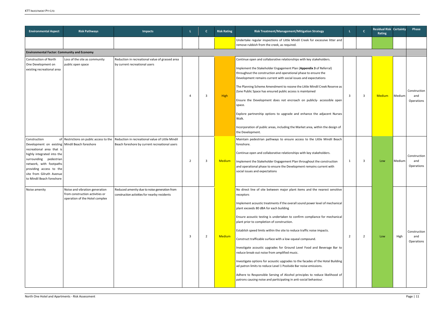| <b>Environmental Aspect</b>                                                                                                                                                                                                                                          | <b>Risk Pathways</b>                                                                                | <b>Impacts</b>                                                                                    |    | $\mathbf{C}$   | <b>Risk Rating</b> | Risk Treatment/Management/Mitigation Strategy                                                                                                                                                                                                                                                                                                                                                                                                                                                                                                                                                                                                                                                                                                                                                                                                                                                                              |                         | $\mathbf{C}$            | <b>Residual Risk Certainty</b><br>Rating |        | Phase                             |
|----------------------------------------------------------------------------------------------------------------------------------------------------------------------------------------------------------------------------------------------------------------------|-----------------------------------------------------------------------------------------------------|---------------------------------------------------------------------------------------------------|----|----------------|--------------------|----------------------------------------------------------------------------------------------------------------------------------------------------------------------------------------------------------------------------------------------------------------------------------------------------------------------------------------------------------------------------------------------------------------------------------------------------------------------------------------------------------------------------------------------------------------------------------------------------------------------------------------------------------------------------------------------------------------------------------------------------------------------------------------------------------------------------------------------------------------------------------------------------------------------------|-------------------------|-------------------------|------------------------------------------|--------|-----------------------------------|
|                                                                                                                                                                                                                                                                      |                                                                                                     |                                                                                                   |    |                |                    | Undertake regular inspections of Little Mindil Creek for excessive litter and<br>remove rubbish from the creek, as required.                                                                                                                                                                                                                                                                                                                                                                                                                                                                                                                                                                                                                                                                                                                                                                                               |                         |                         |                                          |        |                                   |
| <b>Environmental Factor: Community and Economy</b>                                                                                                                                                                                                                   |                                                                                                     |                                                                                                   |    |                |                    |                                                                                                                                                                                                                                                                                                                                                                                                                                                                                                                                                                                                                                                                                                                                                                                                                                                                                                                            |                         |                         |                                          |        |                                   |
| Construction of North<br>One Development on<br>existing recreational area                                                                                                                                                                                            | Loss of the site as community<br>public open space                                                  | Reduction in recreational value of grassed area<br>by current recreational users                  | 4  | 3              | High               | Continue open and collaborative relationships with key stakeholders.<br>Implement the Stakeholder Engagement Plan (Appendix 3 of Referral)<br>throughout the construction and operational phase to ensure the<br>Development remains current with social issues and expectations<br>The Planning Scheme Amendment to rezone the Little Mindil Creek Reserve as<br>Zone Public Space has ensured public access is maintained<br>Ensure the Development does not encroach on publicly- accessible open<br>space.<br>Explore partnership options to upgrade and enhance the adjacent Nurses<br>Walk.<br>Incorporation of public areas, including the Market area, within the design of<br>the Development.                                                                                                                                                                                                                    | $\overline{\mathbf{3}}$ | $\overline{3}$          | <b>Medium</b>                            | Medium | Construction<br>and<br>Operations |
| Construction<br>Development on existing   Mindil Beach foreshore<br>recreational area that is<br>highly integrated into the<br>surrounding pedestrian<br>network, with footpaths<br>providing access to the<br>site from Gilruth Avenue<br>to Mindil Beach foreshore | of Restrictions on public access to the                                                             | Reduction in recreational value of Little Mindil<br>Beach foreshore by current recreational users | -2 | 3              | <b>Medium</b>      | Maintain pedestrian pathways to ensure access to the Little Mindil Beach<br>foreshore.<br>Continue open and collaborative relationships with key stakeholders.<br>Implement the Stakeholder Engagement Plan throughout the construction<br>and operational phase to ensure the Development remains current with<br>social issues and expectations                                                                                                                                                                                                                                                                                                                                                                                                                                                                                                                                                                          | 1                       | $\overline{\mathbf{3}}$ | Low                                      | Medium | Construction<br>and<br>Operations |
| Noise amenity                                                                                                                                                                                                                                                        | Noise and vibration generation<br>from construction activities or<br>operation of the Hotel complex | Reduced amenity due to noise generation from<br>construction activities for nearby residents      | 3  | $\overline{2}$ | <b>Medium</b>      | No direct line of site between major plant items and the nearest sensitive<br>receptors<br>Implement acoustic treatments if the overall sound power level of mechanical<br>plant exceeds 80 dBA for each building<br>Ensure acoustic testing is undertaken to confirm compliance for mechanical<br>plant prior to completion of construction.<br>Establish speed limits within the site to reduce traffic noise impacts.<br>Construct trafficable surface with a low-squeal compound.<br>Investigate acoustic upgrades for Ground Level Food and Beverage Bar to<br>reduce break-out noise from amplified music.<br>Investigate options for acoustic upgrades to the facades of the Hotel Building<br>ad patron limits to reduce Level 1 Poolside Bar noise emissions.<br>Adhere to Responsible Serving of Alcohol principles to reduce likelihood of<br>patrons causing noise and participating in anti-social behaviour. | $\overline{2}$          | $\overline{2}$          | Low                                      | High   | Construction<br>and<br>Operations |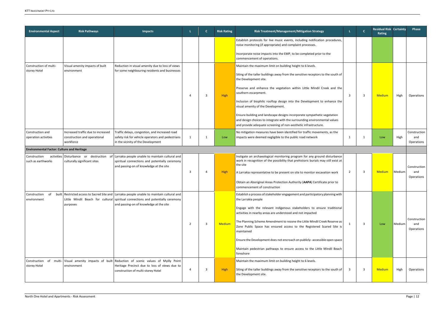| <b>Environmental Aspect</b>                       | <b>Risk Pathways</b>                                                            | <b>Impacts</b>                                                                                                                                                                                                           |               |    | <b>Risk Rating</b> | Risk Treatment/Management/Mitigation Strategy                                                                                                                                                                                                                                                                                                                                                                                                                                                                                                                                                                            | L.                      | $\mathbf{C}$   | <b>Residual Risk Certainty</b><br>Rating |        | <b>Phase</b>                      |
|---------------------------------------------------|---------------------------------------------------------------------------------|--------------------------------------------------------------------------------------------------------------------------------------------------------------------------------------------------------------------------|---------------|----|--------------------|--------------------------------------------------------------------------------------------------------------------------------------------------------------------------------------------------------------------------------------------------------------------------------------------------------------------------------------------------------------------------------------------------------------------------------------------------------------------------------------------------------------------------------------------------------------------------------------------------------------------------|-------------------------|----------------|------------------------------------------|--------|-----------------------------------|
|                                                   |                                                                                 |                                                                                                                                                                                                                          |               |    |                    | Establish protocols for live music events, including notification procedures,<br>noise monitoring (if appropriate) and complaint processes.<br>Incorporate noise impacts into the EMP, to be completed prior to the<br>commencement of operations.                                                                                                                                                                                                                                                                                                                                                                       |                         |                |                                          |        |                                   |
| Construction of multi-<br>storey Hotel            | Visual amenity impacts of built<br>environment                                  | Reduction in visual amenity due to loss of views<br>for some neighbouring residents and businesses                                                                                                                       |               | 3  | High               | Maintain the maximum limit on building height to 6 levels.<br>Siting of the taller buildings away from the sensitive receptors to the south of<br>the Development site.<br>Preserve and enhance the vegetation within Little Mindil Creek and the<br>southern escarpment.<br>Inclusion of biophilic rooftop design into the Development to enhance the<br>visual amenity of the Development.<br>Ensure building and landscape designs incorporate sympathetic vegetation<br>and design choices to integrate with the surrounding environmental values<br>and provide adequate screening of non-aesthetic infrastructure. | $\overline{\mathbf{3}}$ | $\overline{3}$ | <b>Medium</b>                            | High   | Operations                        |
| Construction and<br>operation activities          | Increased traffic due to increased<br>construction and operational<br>workforce | Traffic delays, congestion, and increased road<br>safety risk for vehicle operators and pedestrians<br>in the vicinity of the Development                                                                                | 1             |    | Low                | No mitigation measures have been identified for traffic movements, as the<br>impacts were deemed negligible to the public road network                                                                                                                                                                                                                                                                                                                                                                                                                                                                                   | -1                      |                | Low                                      | High   | Construction<br>and<br>Operations |
| <b>Environmental Factor: Culture and Heritage</b> |                                                                                 |                                                                                                                                                                                                                          |               |    |                    |                                                                                                                                                                                                                                                                                                                                                                                                                                                                                                                                                                                                                          |                         |                |                                          |        |                                   |
| Construction<br>such as earthworks                | culturally significant sites                                                    | activities Disturbance or destruction of Larrakia people unable to maintain cultural and<br>spiritual connections and potentially ceremony<br>and passing-on of knowledge at the site                                    | 3             |    | High               | Instigate an archaeological monitoring program for any ground disturbance<br>work in recognition of the possibility that prehistoric burials may still exist at<br>the site<br>A Larrakia representative to be present on site to monitor excavation work<br>Obtain an Aboriginal Areas Protection Authority (AAPA) Certificate prior to<br>commencement of construction                                                                                                                                                                                                                                                 | $\overline{2}$          | $\overline{3}$ | <b>Medium</b>                            | Medium | Construction<br>and<br>Operations |
| Construction<br>of<br>environment                 | purposes                                                                        | built Restricted access to Sacred Site and Larrakia people unable to maintain cultural and<br>Little Mindil Beach for cultural spiritual connections and potentially ceremony<br>and passing-on of knowledge at the site | $\mathcal{P}$ | 3  | Medium             | Establish a process of stakeholder engagement and participatory planning with<br>the Larrakia people<br>Engage with the relevant indigenous stakeholders to ensure traditional<br>activities in nearby areas are understood and not impacted<br>The Planning Scheme Amendment to rezone the Little Mindil Creek Reserve as<br>Zone Public Space has ensured access to the Registered Scared Site is<br>maintained<br>Ensure the Development does not encroach on publicly-accessible open space<br>Maintain pedestrian pathways to ensure access to the Little Mindil Beach<br>foreshore                                 | 1                       | 3              | Low                                      | Medium | Construction<br>and<br>Operations |
| Construction<br>of<br>storey Hotel                | environment                                                                     | multi- Visual amenity impacts of built Reduction of scenic values of Myilly Point<br>Heritage Precinct due to loss of views due to<br>construction of multi-storey Hotel                                                 |               | -3 | High               | Maintain the maximum limit on building height to 6 levels.<br>Siting of the taller buildings away from the sensitive receptors to the south of<br>the Development site.                                                                                                                                                                                                                                                                                                                                                                                                                                                  | $\overline{\mathbf{3}}$ | 3              | <b>Medium</b>                            | High   | Operations                        |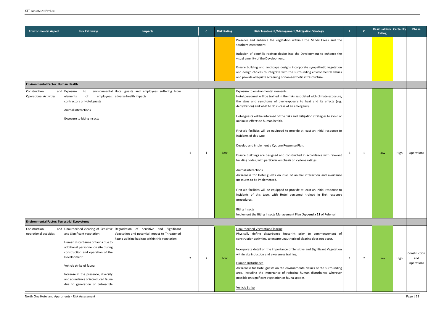| <b>Environmental Aspect</b>                                                         | <b>Risk Pathways</b>                                                                                                                                                                                                                                                                                  | <b>Impacts</b>                                                                                                                                                                       |    | $\mathbf{C}$   | <b>Risk Rating</b> | Risk Treatment/Management/Mitigation Strategy                                                                                                                                                                                                                                                                                                                                                                                                                                                                                                                                                                                                                                                                                                                                                                                                                                                                                                                                                                                                                                                                                                                                                                                                                                                                                                                                                                                                                                                      | L. | $\mathbf{C}$   | <b>Residual Risk Certainty</b><br>Rating |      | Phase                             |
|-------------------------------------------------------------------------------------|-------------------------------------------------------------------------------------------------------------------------------------------------------------------------------------------------------------------------------------------------------------------------------------------------------|--------------------------------------------------------------------------------------------------------------------------------------------------------------------------------------|----|----------------|--------------------|----------------------------------------------------------------------------------------------------------------------------------------------------------------------------------------------------------------------------------------------------------------------------------------------------------------------------------------------------------------------------------------------------------------------------------------------------------------------------------------------------------------------------------------------------------------------------------------------------------------------------------------------------------------------------------------------------------------------------------------------------------------------------------------------------------------------------------------------------------------------------------------------------------------------------------------------------------------------------------------------------------------------------------------------------------------------------------------------------------------------------------------------------------------------------------------------------------------------------------------------------------------------------------------------------------------------------------------------------------------------------------------------------------------------------------------------------------------------------------------------------|----|----------------|------------------------------------------|------|-----------------------------------|
| Environmental Factor: Human Health<br>Construction<br><b>Operational Activities</b> | and Exposure<br>to<br>of<br>elements<br>contractors or Hotel guests<br>Animal interactions<br>Exposure to biting insects                                                                                                                                                                              | environmental Hotel guests and employees suffering from<br>employees, adverse health impacts                                                                                         | -1 | $\mathbf{1}$   | Low                | Preserve and enhance the vegetation within Little Mindil Creek and the<br>southern escarpment.<br>Inclusion of biophilic rooftop design into the Development to enhance the<br>visual amenity of the Development.<br>Ensure building and landscape designs incorporate sympathetic vegetation<br>and design choices to integrate with the surrounding environmental values<br>and provide adequate screening of non-aesthetic infrastructure.<br><b>Exposure to environmental elements</b><br>Hotel personnel will be trained in the risks associated with climate exposure,<br>the signs and symptoms of over-exposure to heat and its effects (e.g.<br>dehydration) and what to do in case of an emergency.<br>Hotel guests will be informed of the risks and mitigation strategies to avoid or<br>minimise effects to human health.<br>First-aid facilities will be equipped to provide at least an initial response to<br>incidents of this type.<br>Develop and implement a Cyclone Response Plan.<br>Ensure buildings are designed and constructed in accordance with relevant<br>building codes, with particular emphasis on cyclone ratings.<br><b>Animal interactions</b><br>Awareness for Hotel guests on risks of animal interaction and avoidance<br>measures to be implemented.<br>First-aid facilities will be equipped to provide at least an initial response to<br>incidents of this type, with Hotel personnel trained in first response<br>procedures.<br><b>Biting Insects</b> | 1  | -1             | Low                                      | High | <b>Operations</b>                 |
| <b>Environmental Factor: Terrestrial Ecosystems</b>                                 |                                                                                                                                                                                                                                                                                                       |                                                                                                                                                                                      |    |                |                    | Implement the Biting Insects Management Plan (Appendix 21 of Referral)                                                                                                                                                                                                                                                                                                                                                                                                                                                                                                                                                                                                                                                                                                                                                                                                                                                                                                                                                                                                                                                                                                                                                                                                                                                                                                                                                                                                                             |    |                |                                          |      |                                   |
| Construction<br>operational activities.                                             | and Significant vegetation<br>Human disturbance of fauna due to<br>additional personnel on site during<br>construction and operation of the<br>Development<br>Vehicle strike of fauna<br>Increase in the presence, diversity<br>and abundance of introduced fauna<br>due to generation of putrescible | and Unauthorised clearing of Sensitive Degradation of sensitive and Significant<br>Vegetation and potential impact to Threatened<br>Fauna utilising habitats within this vegetation. | 2  | $\overline{2}$ | Low                | <b>Unauthorised Vegetation Clearing</b><br>Physically define disturbance footprint prior to commencement of<br>construction activities, to ensure unauthorised clearing does not occur.<br>Incorporate detail on the importance of Sensitive and Significant Vegetation<br>within site induction and awareness training.<br><b>Human Disturbance</b><br>Awareness for Hotel guests on the environmental values of the surrounding<br>area, including the importance of reducing human disturbance wherever<br>possible on significant vegetation or fauna species.<br>Vehicle Strike                                                                                                                                                                                                                                                                                                                                                                                                                                                                                                                                                                                                                                                                                                                                                                                                                                                                                                               | 1  | $\overline{2}$ | Low                                      | High | Construction<br>and<br>Operations |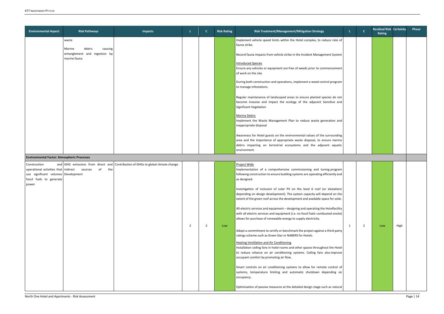| <b>Environmental Aspect</b>                                                                                                              | <b>Risk Pathways</b>                                                                  | <b>Impacts</b>                                                                  |                | $\mathbf{C}$   | <b>Risk Rating</b> | Risk Treatment/Management/Mitigation Strategy                                                                                                                                                                                                                                                                                                                                                                                                                                                                                                                                                                                                                                                                                                                                                                                                                                                                                                                                                                                                                                                                                                                                                                                                                                                                                     |   | $\mathbf{C}$ | <b>Residual Risk Certainty</b><br>Rating |      | Phase |
|------------------------------------------------------------------------------------------------------------------------------------------|---------------------------------------------------------------------------------------|---------------------------------------------------------------------------------|----------------|----------------|--------------------|-----------------------------------------------------------------------------------------------------------------------------------------------------------------------------------------------------------------------------------------------------------------------------------------------------------------------------------------------------------------------------------------------------------------------------------------------------------------------------------------------------------------------------------------------------------------------------------------------------------------------------------------------------------------------------------------------------------------------------------------------------------------------------------------------------------------------------------------------------------------------------------------------------------------------------------------------------------------------------------------------------------------------------------------------------------------------------------------------------------------------------------------------------------------------------------------------------------------------------------------------------------------------------------------------------------------------------------|---|--------------|------------------------------------------|------|-------|
|                                                                                                                                          | waste<br>Marine<br>debris<br>causing<br>entanglement and ingestion by<br>marine fauna |                                                                                 |                |                |                    | Implement vehicle speed limits within the Hotel complex, to reduce risks of<br>fauna strike.<br>Record fauna impacts from vehicle strike in the Incident Management System<br><b>Introduced Species</b><br>Ensure any vehicles or equipment are free of weeds prior to commencement<br>of work on the site.<br>During both construction and operations, implement a weed control program<br>to manage infestations.<br>Regular maintenance of landscaped areas to ensure planted species do not<br>become invasive and impact the ecology of the adjacent Sensitive and<br>Significant Vegetation<br><b>Marine Debris</b><br>Implement the Waste Management Plan to reduce waste generation and<br>inappropriate disposal<br>Awareness for Hotel guests on the environmental values of the surrounding<br>area and the importance of appropriate waste disposal, to ensure marine                                                                                                                                                                                                                                                                                                                                                                                                                                                 |   |              |                                          |      |       |
| <b>Environmental Factor: Atmospheric Processes</b>                                                                                       |                                                                                       |                                                                                 |                |                |                    | debris impacting on terrestrial ecosystems and the adjacent aquatic<br>environment.                                                                                                                                                                                                                                                                                                                                                                                                                                                                                                                                                                                                                                                                                                                                                                                                                                                                                                                                                                                                                                                                                                                                                                                                                                               |   |              |                                          |      |       |
| Construction<br>operational activities that indirect sources<br>use significant volumes Development<br>fossil fuels to generate<br>power | of<br>the                                                                             | and GHG emissions from direct and Contribution of GHGs to global climate change | $\overline{2}$ | $\overline{2}$ | Low                | Project Wide<br>Implementation of a comprehensive commissioning and tuning program<br>following construction to ensure building systems are operating efficiently and<br>as designed.<br>Investigation of inclusion of solar PV on the level 6 roof (or elsewhere<br>depending on design development). The system capacity will depend on the<br>extent of the green roof across the development and available space for solar.<br>All-electric services and equipment - designing and operating the Hotelfacility<br>with all electric services and equipment (i.e. no fossil fuels combusted onsite)<br>allows for purchase of renewable energy to supply electricity.<br>Adopt a commitment to certify or benchmark the project against a third-party<br>ratings scheme such as Green Star or NABERS for Hotels.<br><b>Heating Ventilation and Air Conditioning</b><br>Installation ceiling fans in hotel rooms and other spaces throughout the Hotel<br>to reduce reliance on air conditioning systems. Ceiling fans also improve<br>occupant comfort by promoting air flow.<br>Smart controls on air conditioning systems to allow for remote control of<br>systems, temperature limiting and automatic shutdown depending on<br>occupancy.<br>Optimisation of passive measures at the detailed design stage such as natural | 1 | 2            | Low                                      | High |       |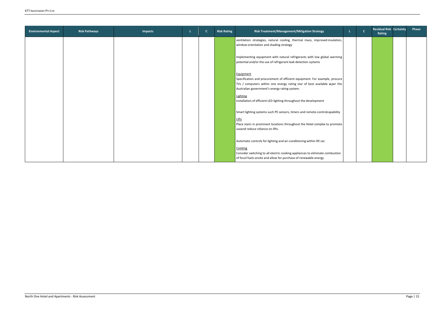| <b>Environmental Aspect</b> | <b>Risk Pathways</b> | <b>Impacts</b> | -1 | <b>C</b> | <b>Risk Rating</b> | Risk Treatment/Management/Mitigation Strategy                                 | $\mathbf{C}$ | <b>Residual Risk Certainty</b><br>Rating | Phase |
|-----------------------------|----------------------|----------------|----|----------|--------------------|-------------------------------------------------------------------------------|--------------|------------------------------------------|-------|
|                             |                      |                |    |          |                    | ventilation strategies, natural cooling, thermal mass, improved insulation,   |              |                                          |       |
|                             |                      |                |    |          |                    | window orientation and shading strategy                                       |              |                                          |       |
|                             |                      |                |    |          |                    |                                                                               |              |                                          |       |
|                             |                      |                |    |          |                    | Implementing equipment with natural refrigerants with low global warming      |              |                                          |       |
|                             |                      |                |    |          |                    | potential and/or the use of refrigerant leak detection systems                |              |                                          |       |
|                             |                      |                |    |          |                    |                                                                               |              |                                          |       |
|                             |                      |                |    |          |                    | Equipment                                                                     |              |                                          |       |
|                             |                      |                |    |          |                    | Specification and procurement of efficient equipment. For example, procure    |              |                                          |       |
|                             |                      |                |    |          |                    | TVs / computers within one energy rating star of best available as per the    |              |                                          |       |
|                             |                      |                |    |          |                    | Australian government's energy rating system.                                 |              |                                          |       |
|                             |                      |                |    |          |                    |                                                                               |              |                                          |       |
|                             |                      |                |    |          |                    | Lighting<br>Installation of efficient LED lighting throughout the development |              |                                          |       |
|                             |                      |                |    |          |                    |                                                                               |              |                                          |       |
|                             |                      |                |    |          |                    |                                                                               |              |                                          |       |
|                             |                      |                |    |          |                    | Smart lighting systems such PE sensors, timers and remote-controlcapability   |              |                                          |       |
|                             |                      |                |    |          |                    | <b>Lifts</b>                                                                  |              |                                          |       |
|                             |                      |                |    |          |                    | Place stairs in prominent locations throughout the Hotel complex to promote   |              |                                          |       |
|                             |                      |                |    |          |                    | useand reduce reliance on lifts.                                              |              |                                          |       |
|                             |                      |                |    |          |                    |                                                                               |              |                                          |       |
|                             |                      |                |    |          |                    | Automatic controls for lighting and air-conditioning within lift car.         |              |                                          |       |
|                             |                      |                |    |          |                    | Cooking                                                                       |              |                                          |       |
|                             |                      |                |    |          |                    | Consider switching to all electric cooking appliances to eliminate combustion |              |                                          |       |
|                             |                      |                |    |          |                    | of fossil fuels onsite and allow for purchase of renewable energy             |              |                                          |       |
|                             |                      |                |    |          |                    |                                                                               |              |                                          |       |